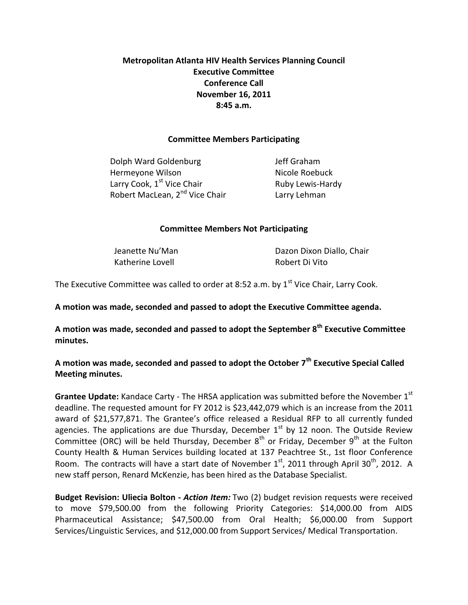# **Metropolitan Atlanta HIV Health Services Planning Council Executive Committee Conference Call November 16, 2011 8:45 a.m.**

### **Committee Members Participating**

Dolph Ward Goldenburg **In the State State Set Containst Property** Jeff Graham Hermeyone Wilson Nicole Roebuck Larry Cook, 1<sup>st</sup> Vice Chair **Ruby Lewis-Hardy** Robert MacLean, 2<sup>nd</sup> Vice Chair **Larry Lehman** 

### **Committee Members Not Participating**

Katherine Lovell **Robert Di Vito** 

Jeanette Nu'Man **Dazon Dixon Diallo**, Chair

The Executive Committee was called to order at 8:52 a.m. by  $1^{st}$  Vice Chair, Larry Cook.

**A motion was made, seconded and passed to adopt the Executive Committee agenda.** 

**A motion was made, seconded and passed to adopt the September 8th Executive Committee minutes.**

**A motion was made, seconded and passed to adopt the October 7th Executive Special Called Meeting minutes.** 

**Grantee Update:** Kandace Carty - The HRSA application was submitted before the November 1<sup>st</sup> deadline. The requested amount for FY 2012 is \$23,442,079 which is an increase from the 2011 award of \$21,577,871. The Grantee's office released a Residual RFP to all currently funded agencies. The applications are due Thursday, December  $1<sup>st</sup>$  by 12 noon. The Outside Review Committee (ORC) will be held Thursday, December  $8<sup>th</sup>$  or Friday, December  $9<sup>th</sup>$  at the Fulton County Health & Human Services building located at 137 Peachtree St., 1st floor Conference Room. The contracts will have a start date of November  $1<sup>st</sup>$ , 2011 through April 30<sup>th</sup>, 2012. A new staff person, Renard McKenzie, has been hired as the Database Specialist.

**Budget Revision: Uliecia Bolton -** *Action Item:* Two (2) budget revision requests were received to move \$79,500.00 from the following Priority Categories: \$14,000.00 from AIDS Pharmaceutical Assistance; \$47,500.00 from Oral Health; \$6,000.00 from Support Services/Linguistic Services, and \$12,000.00 from Support Services/ Medical Transportation.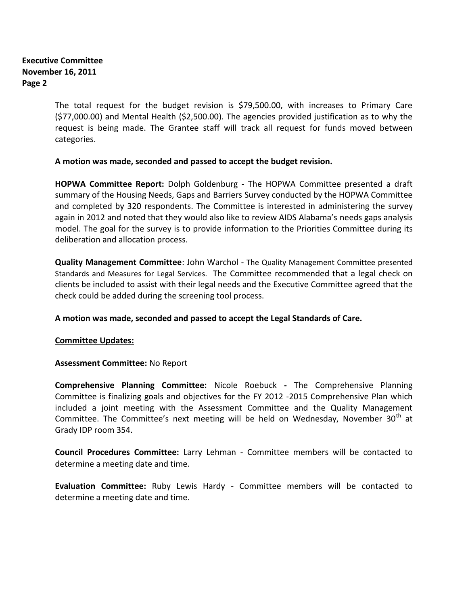## **Executive Committee November 16, 2011 Page 2**

The total request for the budget revision is \$79,500.00, with increases to Primary Care (\$77,000.00) and Mental Health (\$2,500.00). The agencies provided justification as to why the request is being made. The Grantee staff will track all request for funds moved between categories.

## **A motion was made, seconded and passed to accept the budget revision.**

**HOPWA Committee Report:** Dolph Goldenburg - The HOPWA Committee presented a draft summary of the Housing Needs, Gaps and Barriers Survey conducted by the HOPWA Committee and completed by 320 respondents. The Committee is interested in administering the survey again in 2012 and noted that they would also like to review AIDS Alabama's needs gaps analysis model. The goal for the survey is to provide information to the Priorities Committee during its deliberation and allocation process.

**Quality Management Committee**: John Warchol - The Quality Management Committee presented Standards and Measures for Legal Services. The Committee recommended that a legal check on clients be included to assist with their legal needs and the Executive Committee agreed that the check could be added during the screening tool process.

**A motion was made, seconded and passed to accept the Legal Standards of Care.** 

### **Committee Updates:**

### **Assessment Committee:** No Report

**Comprehensive Planning Committee:** Nicole Roebuck **-** The Comprehensive Planning Committee is finalizing goals and objectives for the FY 2012 -2015 Comprehensive Plan which included a joint meeting with the Assessment Committee and the Quality Management Committee. The Committee's next meeting will be held on Wednesday, November  $30<sup>th</sup>$  at Grady IDP room 354.

**Council Procedures Committee:** Larry Lehman - Committee members will be contacted to determine a meeting date and time.

**Evaluation Committee:** Ruby Lewis Hardy - Committee members will be contacted to determine a meeting date and time.